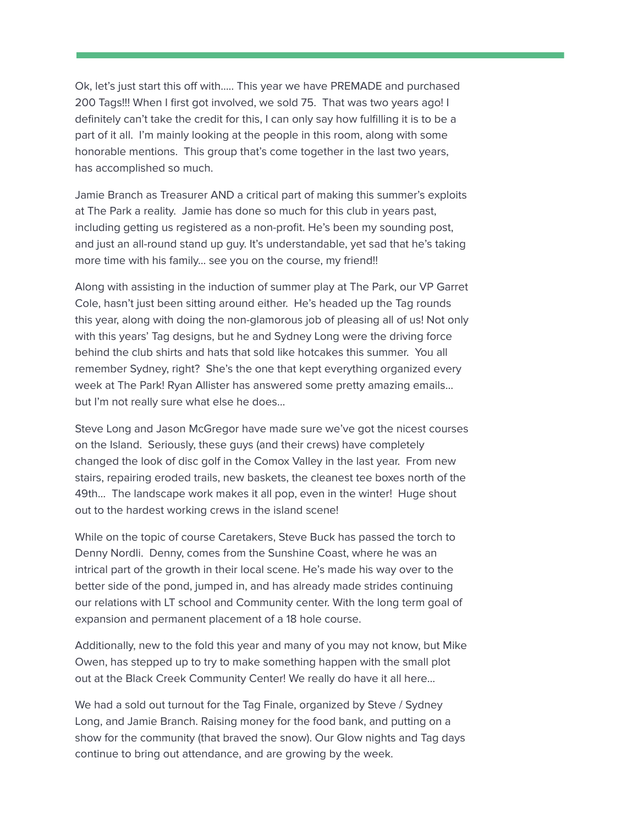Ok, let's just start this off with….. This year we have PREMADE and purchased 200 Tags!!! When I first got involved, we sold 75. That was two years ago! I definitely can't take the credit for this, I can only say how fulfilling it is to be a part of it all. I'm mainly looking at the people in this room, along with some honorable mentions. This group that's come together in the last two years, has accomplished so much.

Jamie Branch as Treasurer AND a critical part of making this summer's exploits at The Park a reality. Jamie has done so much for this club in years past, including getting us registered as a non-profit. He's been my sounding post, and just an all-round stand up guy. It's understandable, yet sad that he's taking more time with his family… see you on the course, my friend!!

Along with assisting in the induction of summer play at The Park, our VP Garret Cole, hasn't just been sitting around either. He's headed up the Tag rounds this year, along with doing the non-glamorous job of pleasing all of us! Not only with this years' Tag designs, but he and Sydney Long were the driving force behind the club shirts and hats that sold like hotcakes this summer. You all remember Sydney, right? She's the one that kept everything organized every week at The Park! Ryan Allister has answered some pretty amazing emails… but I'm not really sure what else he does…

Steve Long and Jason McGregor have made sure we've got the nicest courses on the Island. Seriously, these guys (and their crews) have completely changed the look of disc golf in the Comox Valley in the last year. From new stairs, repairing eroded trails, new baskets, the cleanest tee boxes north of the 49th… The landscape work makes it all pop, even in the winter! Huge shout out to the hardest working crews in the island scene!

While on the topic of course Caretakers, Steve Buck has passed the torch to Denny Nordli. Denny, comes from the Sunshine Coast, where he was an intrical part of the growth in their local scene. He's made his way over to the better side of the pond, jumped in, and has already made strides continuing our relations with LT school and Community center. With the long term goal of expansion and permanent placement of a 18 hole course.

Additionally, new to the fold this year and many of you may not know, but Mike Owen, has stepped up to try to make something happen with the small plot out at the Black Creek Community Center! We really do have it all here…

We had a sold out turnout for the Tag Finale, organized by Steve / Sydney Long, and Jamie Branch. Raising money for the food bank, and putting on a show for the community (that braved the snow). Our Glow nights and Tag days continue to bring out attendance, and are growing by the week.